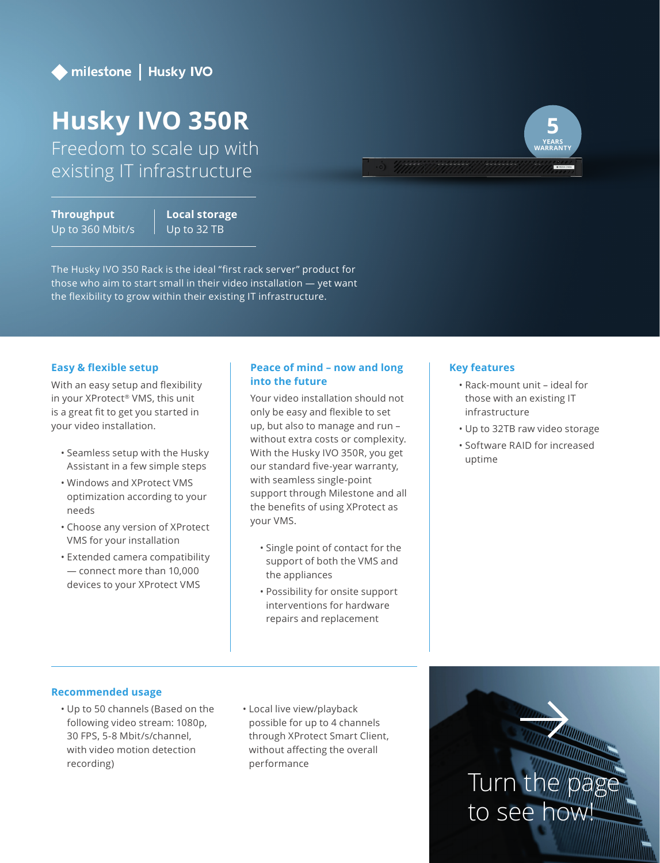

# **Husky IVO 350R**

Freedom to scale up with existing IT infrastructure

**Throughput** Up to 360 Mbit/s **Local storage** Up to 32 TB

The Husky IVO 350 Rack is the ideal "first rack server" product for those who aim to start small in their video installation — yet want the flexibility to grow within their existing IT infrastructure.

## **Easy & flexible setup**

With an easy setup and flexibility in your XProtect® VMS, this unit is a great fit to get you started in your video installation.

- Seamless setup with the Husky Assistant in a few simple steps
- Windows and XProtect VMS optimization according to your needs
- Choose any version of XProtect VMS for your installation
- Extended camera compatibility — connect more than 10,000 devices to your XProtect VMS

# **Peace of mind – now and long into the future**

Your video installation should not only be easy and flexible to set up, but also to manage and run – without extra costs or complexity. With the Husky IVO 350R, you get our standard five-year warranty, with seamless single-point support through Milestone and all the benefits of using XProtect as your VMS.

- Single point of contact for the support of both the VMS and the appliances
- Possibility for onsite support interventions for hardware repairs and replacement

## **Key features**

- Rack-mount unit ideal for those with an existing IT infrastructure
- Up to 32TB raw video storage
- Software RAID for increased uptime

### **Recommended usage**

- Up to 50 channels (Based on the following video stream: 1080p, 30 FPS, 5-8 Mbit/s/channel, with video motion detection recording)
- Local live view/playback possible for up to 4 channels through XProtect Smart Client, without affecting the overall performance